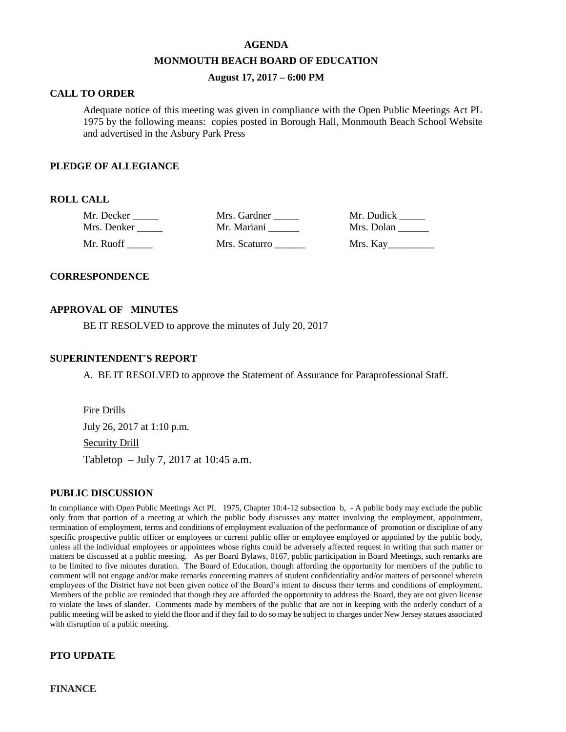#### **AGENDA**

#### **MONMOUTH BEACH BOARD OF EDUCATION**

## **August 17, 2017 – 6:00 PM**

## **CALL TO ORDER**

Adequate notice of this meeting was given in compliance with the Open Public Meetings Act PL 1975 by the following means: copies posted in Borough Hall, Monmouth Beach School Website and advertised in the Asbury Park Press

### **PLEDGE OF ALLEGIANCE**

## **ROLL CALL**

| Mr. Decker  | Mrs. Gardner  | Mr. Dudick |
|-------------|---------------|------------|
| Mrs. Denker | Mr. Mariani   | Mrs. Dolan |
| Mr. Ruoff   | Mrs. Scaturro | Mrs. Kay   |

#### **CORRESPONDENCE**

#### **APPROVAL OF MINUTES**

BE IT RESOLVED to approve the minutes of July 20, 2017

#### **SUPERINTENDENT'S REPORT**

A. BE IT RESOLVED to approve the Statement of Assurance for Paraprofessional Staff.

Fire Drills July 26, 2017 at 1:10 p.m. Security Drill Tabletop – July 7, 2017 at 10:45 a.m.

## **PUBLIC DISCUSSION**

In compliance with Open Public Meetings Act PL 1975, Chapter 10:4-12 subsection b, - A public body may exclude the public only from that portion of a meeting at which the public body discusses any matter involving the employment, appointment, termination of employment, terms and conditions of employment evaluation of the performance of promotion or discipline of any specific prospective public officer or employees or current public offer or employee employed or appointed by the public body, unless all the individual employees or appointees whose rights could be adversely affected request in writing that such matter or matters be discussed at a public meeting. As per Board Bylaws, 0167, public participation in Board Meetings, such remarks are to be limited to five minutes duration. The Board of Education, though affording the opportunity for members of the public to comment will not engage and/or make remarks concerning matters of student confidentiality and/or matters of personnel wherein employees of the District have not been given notice of the Board's intent to discuss their terms and conditions of employment. Members of the public are reminded that though they are afforded the opportunity to address the Board, they are not given license to violate the laws of slander. Comments made by members of the public that are not in keeping with the orderly conduct of a public meeting will be asked to yield the floor and if they fail to do so may be subject to charges under New Jersey statues associated with disruption of a public meeting.

## **PTO UPDATE**

**FINANCE**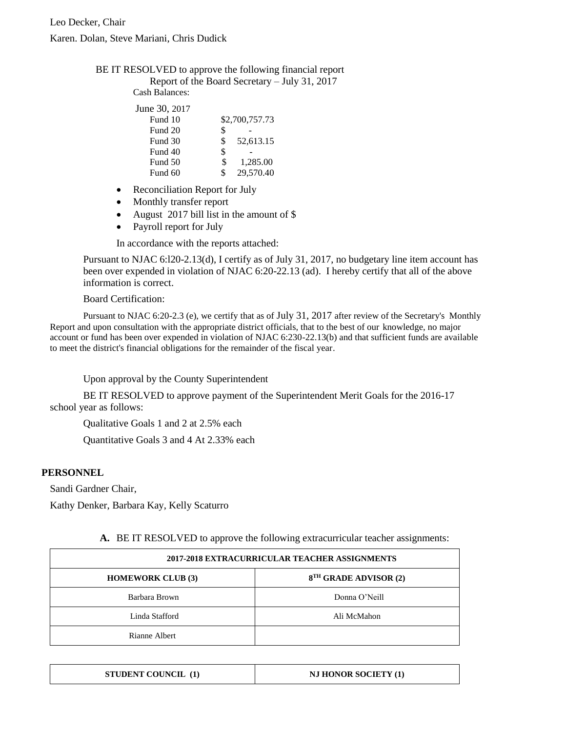## BE IT RESOLVED to approve the following financial report

Report of the Board Secretary – July 31, 2017 Cash Balances:

| June 30, 2017 |    |                |
|---------------|----|----------------|
| Fund 10       |    | \$2,700,757.73 |
| Fund 20       | \$ |                |
| Fund 30       | \$ | 52,613.15      |
| Fund 40       | \$ |                |
| Fund 50       | Ж  | 1,285.00       |

- Reconciliation Report for July
- Monthly transfer report
- August 2017 bill list in the amount of \$

Fund 60  $\qquad$  \$ 29,570.40

• Payroll report for July

In accordance with the reports attached:

Pursuant to NJAC 6:l20-2.13(d), I certify as of July 31, 2017, no budgetary line item account has been over expended in violation of NJAC 6:20-22.13 (ad). I hereby certify that all of the above information is correct.

Board Certification:

Pursuant to NJAC 6:20-2.3 (e), we certify that as of July 31, 2017 after review of the Secretary's Monthly Report and upon consultation with the appropriate district officials, that to the best of our knowledge, no major account or fund has been over expended in violation of NJAC 6:230-22.13(b) and that sufficient funds are available to meet the district's financial obligations for the remainder of the fiscal year.

Upon approval by the County Superintendent

BE IT RESOLVED to approve payment of the Superintendent Merit Goals for the 2016-17 school year as follows:

Qualitative Goals 1 and 2 at 2.5% each

Quantitative Goals 3 and 4 At 2.33% each

## **PERSONNEL**

Sandi Gardner Chair,

Kathy Denker, Barbara Kay, Kelly Scaturro

| 2017-2018 EXTRACURRICULAR TEACHER ASSIGNMENTS |                                   |  |
|-----------------------------------------------|-----------------------------------|--|
| <b>HOMEWORK CLUB (3)</b>                      | 8 <sup>TH</sup> GRADE ADVISOR (2) |  |
| Barbara Brown                                 | Donna O'Neill                     |  |
| Linda Stafford                                | Ali McMahon                       |  |
| Rianne Albert                                 |                                   |  |

**A.** BE IT RESOLVED to approve the following extracurricular teacher assignments:

| <b>STUDENT COUNCIL (1)</b><br>NJ HONOR SOCIETY (1) |
|----------------------------------------------------|
|----------------------------------------------------|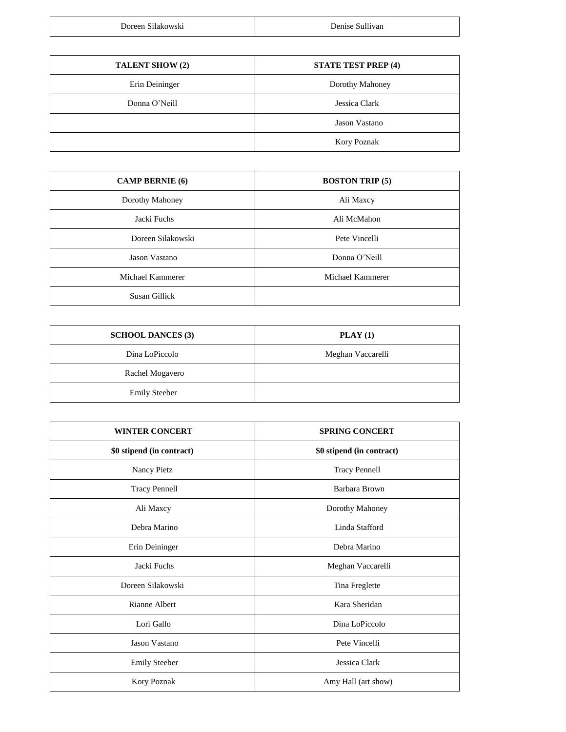| $\sim$ $\cdot$ $\cdot$ | $\cdots$        |
|------------------------|-----------------|
| Doreen Silakowski      | Denise Sullivan |

| <b>TALENT SHOW (2)</b> | <b>STATE TEST PREP (4)</b> |
|------------------------|----------------------------|
| Erin Deininger         | Dorothy Mahoney            |
| Donna O'Neill          | Jessica Clark              |
|                        | Jason Vastano              |
|                        | Kory Poznak                |

| <b>CAMP BERNIE</b> (6) | <b>BOSTON TRIP (5)</b> |
|------------------------|------------------------|
| Dorothy Mahoney        | Ali Maxcy              |
| Jacki Fuchs            | Ali McMahon            |
| Doreen Silakowski      | Pete Vincelli          |
| Jason Vastano          | Donna O'Neill          |
| Michael Kammerer       | Michael Kammerer       |
| Susan Gillick          |                        |

| <b>SCHOOL DANCES (3)</b> | $\textbf{PLAN}$ (1) |
|--------------------------|---------------------|
| Dina LoPiccolo           | Meghan Vaccarelli   |
| Rachel Mogavero          |                     |
| <b>Emily Steeber</b>     |                     |

| <b>WINTER CONCERT</b>     | <b>SPRING CONCERT</b>     |
|---------------------------|---------------------------|
| \$0 stipend (in contract) | \$0 stipend (in contract) |
| Nancy Pietz               | <b>Tracy Pennell</b>      |
| <b>Tracy Pennell</b>      | Barbara Brown             |
| Ali Maxcy                 | Dorothy Mahoney           |
| Debra Marino              | Linda Stafford            |
| Erin Deininger            | Debra Marino              |
| Jacki Fuchs               | Meghan Vaccarelli         |
| Doreen Silakowski         | Tina Freglette            |
| Rianne Albert             | Kara Sheridan             |
| Lori Gallo                | Dina LoPiccolo            |
| Jason Vastano             | Pete Vincelli             |
| <b>Emily Steeber</b>      | Jessica Clark             |
| Kory Poznak               | Amy Hall (art show)       |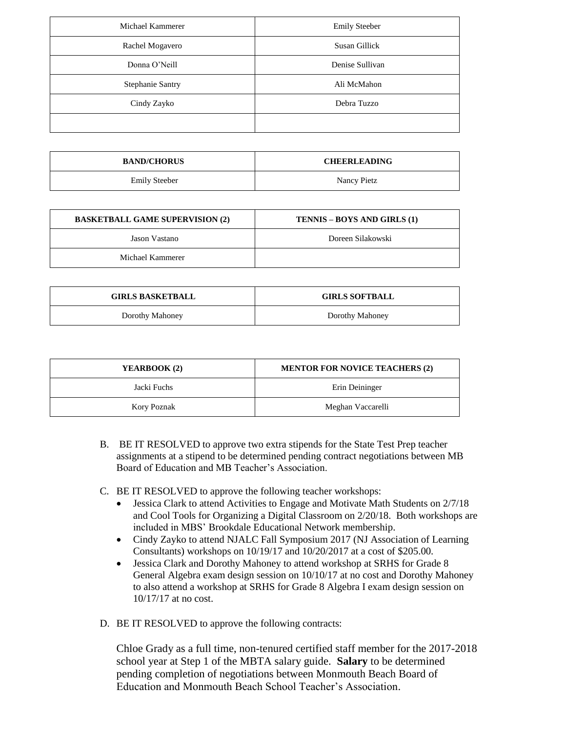| Michael Kammerer        | <b>Emily Steeber</b> |
|-------------------------|----------------------|
| Rachel Mogavero         | Susan Gillick        |
| Donna O'Neill           | Denise Sullivan      |
| <b>Stephanie Santry</b> | Ali McMahon          |
| Cindy Zayko             | Debra Tuzzo          |
|                         |                      |

| <b>BAND/CHORUS</b>   | <b>CHEERLEADING</b> |
|----------------------|---------------------|
| <b>Emily Steeber</b> | Nancy Pietz         |

| <b>BASKETBALL GAME SUPERVISION (2)</b> | TENNIS – BOYS AND GIRLS (1) |
|----------------------------------------|-----------------------------|
| Jason Vastano                          | Doreen Silakowski           |
| Michael Kammerer                       |                             |

| <b>GIRLS BASKETBALL</b> | <b>GIRLS SOFTBALL</b> |
|-------------------------|-----------------------|
| Dorothy Mahoney         | Dorothy Mahoney       |

| YEARBOOK (2) | <b>MENTOR FOR NOVICE TEACHERS (2)</b> |
|--------------|---------------------------------------|
| Jacki Fuchs  | Erin Deininger                        |
| Kory Poznak  | Meghan Vaccarelli                     |

- B. BE IT RESOLVED to approve two extra stipends for the State Test Prep teacher assignments at a stipend to be determined pending contract negotiations between MB Board of Education and MB Teacher's Association.
- C. BE IT RESOLVED to approve the following teacher workshops:
	- Jessica Clark to attend Activities to Engage and Motivate Math Students on 2/7/18 and Cool Tools for Organizing a Digital Classroom on 2/20/18. Both workshops are included in MBS' Brookdale Educational Network membership.
	- Cindy Zayko to attend NJALC Fall Symposium 2017 (NJ Association of Learning Consultants) workshops on 10/19/17 and 10/20/2017 at a cost of \$205.00.
	- Jessica Clark and Dorothy Mahoney to attend workshop at SRHS for Grade 8 General Algebra exam design session on 10/10/17 at no cost and Dorothy Mahoney to also attend a workshop at SRHS for Grade 8 Algebra I exam design session on 10/17/17 at no cost.
- D. BE IT RESOLVED to approve the following contracts:

Chloe Grady as a full time, non-tenured certified staff member for the 2017-2018 school year at Step 1 of the MBTA salary guide. **Salary** to be determined pending completion of negotiations between Monmouth Beach Board of Education and Monmouth Beach School Teacher's Association.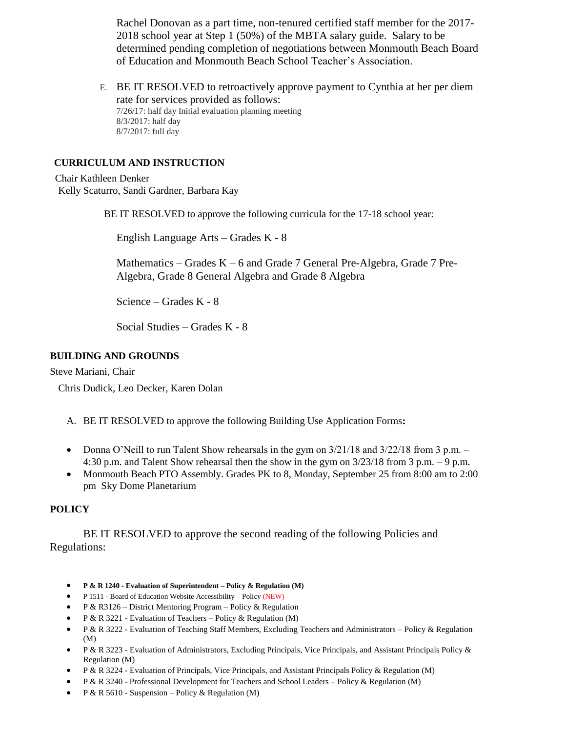Rachel Donovan as a part time, non-tenured certified staff member for the 2017- 2018 school year at Step 1 (50%) of the MBTA salary guide. Salary to be determined pending completion of negotiations between Monmouth Beach Board of Education and Monmouth Beach School Teacher's Association.

E. BE IT RESOLVED to retroactively approve payment to Cynthia at her per diem rate for services provided as follows: 7/26/17: half day Initial evaluation planning meeting 8/3/2017: half day 8/7/2017: full day

## **CURRICULUM AND INSTRUCTION**

Chair Kathleen Denker Kelly Scaturro, Sandi Gardner, Barbara Kay

BE IT RESOLVED to approve the following curricula for the 17-18 school year:

English Language Arts – Grades K - 8

Mathematics – Grades K – 6 and Grade 7 General Pre-Algebra, Grade 7 Pre-Algebra, Grade 8 General Algebra and Grade 8 Algebra

Science – Grades K - 8

Social Studies – Grades K - 8

## **BUILDING AND GROUNDS**

Steve Mariani, Chair

Chris Dudick, Leo Decker, Karen Dolan

- A. BE IT RESOLVED to approve the following Building Use Application Forms**:**
- Donna O'Neill to run Talent Show rehearsals in the gym on  $3/21/18$  and  $3/22/18$  from 3 p.m. 4:30 p.m. and Talent Show rehearsal then the show in the gym on 3/23/18 from 3 p.m. – 9 p.m.
- Monmouth Beach PTO Assembly. Grades PK to 8, Monday, September 25 from 8:00 am to 2:00 pm Sky Dome Planetarium

## **POLICY**

BE IT RESOLVED to approve the second reading of the following Policies and Regulations:

- **P & R 1240 - Evaluation of Superintendent – Policy & Regulation (M)**
- P 1511 Board of Education Website Accessibility Policy (NEW)
- P & R3126 District Mentoring Program Policy & Regulation
- P & R 3221 Evaluation of Teachers Policy & Regulation (M)
- P & R 3222 Evaluation of Teaching Staff Members, Excluding Teachers and Administrators Policy & Regulation (M)
- P & R 3223 Evaluation of Administrators, Excluding Principals, Vice Principals, and Assistant Principals Policy & Regulation (M)
- P & R 3224 Evaluation of Principals, Vice Principals, and Assistant Principals Policy & Regulation (M)
- P & R 3240 Professional Development for Teachers and School Leaders Policy & Regulation (M)
- P & R 5610 Suspension Policy & Regulation (M)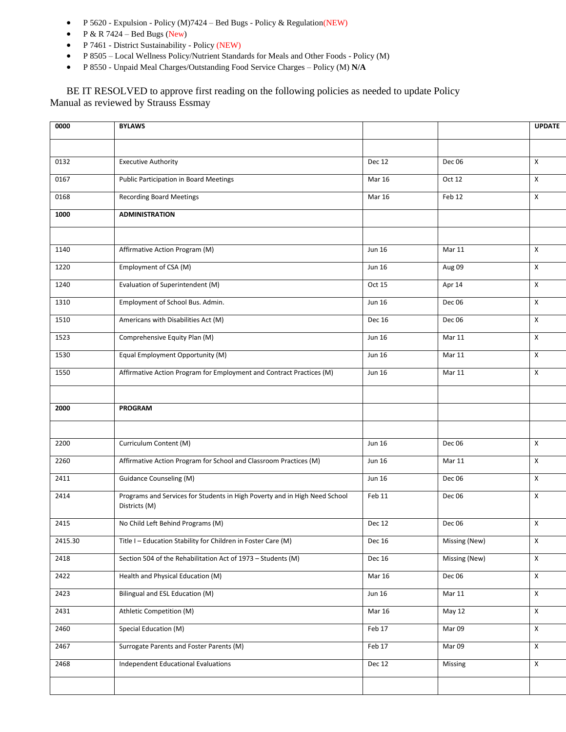- P 5620 Expulsion Policy (M)7424 Bed Bugs Policy & Regulation(NEW)
- $P & R 7424 Bed Bugs (New)$
- P 7461 District Sustainability Policy (NEW)
- P 8505 Local Wellness Policy/Nutrient Standards for Meals and Other Foods Policy (M)
- P 8550 Unpaid Meal Charges/Outstanding Food Service Charges Policy (M) **N/A**

BE IT RESOLVED to approve first reading on the following policies as needed to update Policy Manual as reviewed by Strauss Essmay

| 0000    | <b>BYLAWS</b>                                                              |               |               | <b>UPDATE</b>      |
|---------|----------------------------------------------------------------------------|---------------|---------------|--------------------|
|         |                                                                            |               |               |                    |
| 0132    | <b>Executive Authority</b>                                                 | <b>Dec 12</b> | Dec 06        | X                  |
| 0167    | <b>Public Participation in Board Meetings</b>                              | <b>Mar 16</b> | Oct 12        | $\pmb{\chi}$       |
| 0168    | <b>Recording Board Meetings</b>                                            | <b>Mar 16</b> | Feb 12        | X                  |
| 1000    | <b>ADMINISTRATION</b>                                                      |               |               |                    |
|         |                                                                            |               |               |                    |
| 1140    | Affirmative Action Program (M)                                             | <b>Jun 16</b> | <b>Mar 11</b> | X                  |
| 1220    | Employment of CSA (M)                                                      | <b>Jun 16</b> | Aug 09        | X                  |
| 1240    | Evaluation of Superintendent (M)                                           | Oct 15        | Apr 14        | X                  |
| 1310    | Employment of School Bus. Admin.                                           | <b>Jun 16</b> | Dec 06        | X                  |
| 1510    | Americans with Disabilities Act (M)                                        | Dec 16        | Dec 06        | $\pmb{\chi}$       |
| 1523    | Comprehensive Equity Plan (M)                                              | <b>Jun 16</b> | <b>Mar 11</b> | X                  |
| 1530    | Equal Employment Opportunity (M)                                           | <b>Jun 16</b> | <b>Mar 11</b> | $\pmb{\chi}$       |
| 1550    | Affirmative Action Program for Employment and Contract Practices (M)       | Jun 16        | Mar 11        | X                  |
|         |                                                                            |               |               |                    |
| 2000    | <b>PROGRAM</b>                                                             |               |               |                    |
|         |                                                                            |               |               |                    |
| 2200    | Curriculum Content (M)                                                     | <b>Jun 16</b> | Dec 06        | $\pmb{\chi}$       |
| 2260    | Affirmative Action Program for School and Classroom Practices (M)          | <b>Jun 16</b> | <b>Mar 11</b> | $\pmb{\chi}$       |
| 2411    | <b>Guidance Counseling (M)</b>                                             | <b>Jun 16</b> | Dec 06        | X                  |
| 2414    | Programs and Services for Students in High Poverty and in High Need School | Feb 11        | Dec 06        | X                  |
|         | Districts (M)                                                              |               |               |                    |
| 2415    | No Child Left Behind Programs (M)                                          | Dec 12        | Dec 06        | X                  |
| 2415.30 | Title I - Education Stability for Children in Foster Care (M)              | <b>Dec 16</b> | Missing (New) | $\pmb{\mathsf{X}}$ |
| 2418    | Section 504 of the Rehabilitation Act of 1973 - Students (M)               | <b>Dec 16</b> | Missing (New) | $\pmb{\mathsf{X}}$ |
| 2422    | Health and Physical Education (M)                                          | <b>Mar 16</b> | Dec 06        | $\pmb{\mathsf{X}}$ |
| 2423    | Bilingual and ESL Education (M)                                            | <b>Jun 16</b> | Mar 11        | $\mathsf{X}$       |
| 2431    | Athletic Competition (M)                                                   | <b>Mar 16</b> | May 12        | $\pmb{\mathsf{X}}$ |
| 2460    | Special Education (M)                                                      | Feb 17        | Mar 09        | $\pmb{\mathsf{X}}$ |
| 2467    | Surrogate Parents and Foster Parents (M)                                   | Feb 17        | Mar 09        | X                  |
| 2468    | <b>Independent Educational Evaluations</b>                                 | Dec 12        | Missing       | $\pmb{\mathsf{X}}$ |
|         |                                                                            |               |               |                    |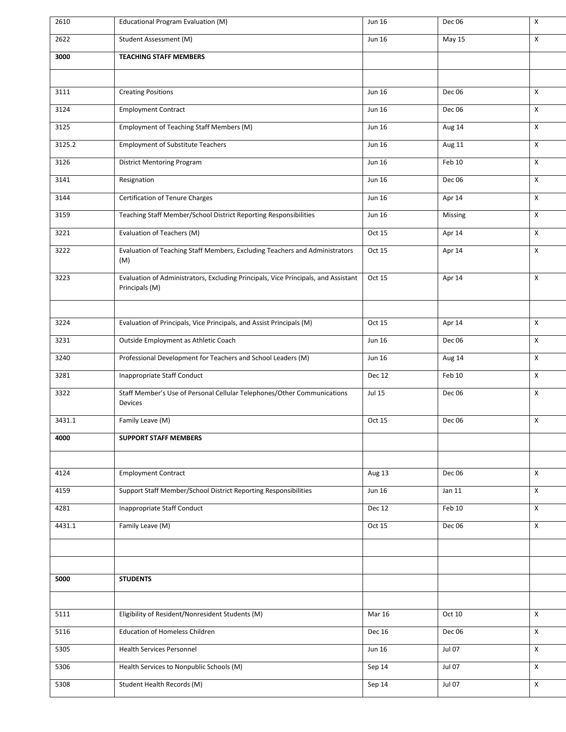| 2610   | Educational Program Evaluation (M)                                                                   | Jun 16        | Dec 06        | X            |
|--------|------------------------------------------------------------------------------------------------------|---------------|---------------|--------------|
| 2622   | Student Assessment (M)                                                                               | <b>Jun 16</b> | May 15        | X            |
| 3000   | <b>TEACHING STAFF MEMBERS</b>                                                                        |               |               |              |
|        |                                                                                                      |               |               |              |
| 3111   | <b>Creating Positions</b>                                                                            | <b>Jun 16</b> | Dec 06        | $\mathsf{X}$ |
| 3124   | <b>Employment Contract</b>                                                                           | <b>Jun 16</b> | Dec 06        | $\mathsf{X}$ |
| 3125   | Employment of Teaching Staff Members (M)                                                             | <b>Jun 16</b> | Aug 14        | X            |
| 3125.2 | <b>Employment of Substitute Teachers</b>                                                             | <b>Jun 16</b> | Aug 11        | X            |
| 3126   | <b>District Mentoring Program</b>                                                                    | <b>Jun 16</b> | Feb 10        | $\mathsf{X}$ |
| 3141   | Resignation                                                                                          | <b>Jun 16</b> | Dec 06        | X            |
| 3144   | Certification of Tenure Charges                                                                      | Jun 16        | Apr 14        | X            |
| 3159   | Teaching Staff Member/School District Reporting Responsibilities                                     | <b>Jun 16</b> | Missing       | $\mathsf{X}$ |
| 3221   | Evaluation of Teachers (M)                                                                           | Oct 15        | Apr 14        | $\mathsf{X}$ |
| 3222   | Evaluation of Teaching Staff Members, Excluding Teachers and Administrators<br>(M)                   | Oct 15        | Apr 14        | $\mathsf{X}$ |
| 3223   | Evaluation of Administrators, Excluding Principals, Vice Principals, and Assistant<br>Principals (M) | Oct 15        | Apr 14        | X            |
| 3224   | Evaluation of Principals, Vice Principals, and Assist Principals (M)                                 | Oct 15        | Apr 14        | X            |
| 3231   | Outside Employment as Athletic Coach                                                                 | <b>Jun 16</b> | Dec 06        | $\mathsf{X}$ |
| 3240   | Professional Development for Teachers and School Leaders (M)                                         | <b>Jun 16</b> | Aug 14        | X            |
| 3281   | <b>Inappropriate Staff Conduct</b>                                                                   | Dec 12        | Feb 10        | $\mathsf{X}$ |
| 3322   | Staff Member's Use of Personal Cellular Telephones/Other Communications<br>Devices                   | <b>Jul 15</b> | Dec 06        | $\mathsf{X}$ |
| 3431.1 | Family Leave (M)                                                                                     | Oct 15        | Dec 06        | X            |
| 4000   | <b>SUPPORT STAFF MEMBERS</b>                                                                         |               |               |              |
|        |                                                                                                      |               |               |              |
| 4124   | <b>Employment Contract</b>                                                                           | Aug 13        | Dec 06        | $\mathsf{X}$ |
| 4159   | Support Staff Member/School District Reporting Responsibilities                                      | <b>Jun 16</b> | Jan 11        | $\mathsf{X}$ |
| 4281   | Inappropriate Staff Conduct                                                                          | Dec 12        | Feb 10        | $\mathsf{X}$ |
| 4431.1 | Family Leave (M)                                                                                     | Oct 15        | Dec 06        | $\mathsf{X}$ |
|        |                                                                                                      |               |               |              |
|        |                                                                                                      |               |               |              |
| 5000   | <b>STUDENTS</b>                                                                                      |               |               |              |
|        |                                                                                                      |               |               |              |
| 5111   | Eligibility of Resident/Nonresident Students (M)                                                     | <b>Mar 16</b> | Oct 10        | $\mathsf{X}$ |
| 5116   | <b>Education of Homeless Children</b>                                                                | <b>Dec 16</b> | Dec 06        | $\mathsf{X}$ |
| 5305   | <b>Health Services Personnel</b>                                                                     | <b>Jun 16</b> | Jul 07        | X            |
| 5306   | Health Services to Nonpublic Schools (M)                                                             | Sep 14        | <b>Jul 07</b> | $\mathsf{X}$ |
| 5308   | Student Health Records (M)                                                                           | Sep 14        | <b>Jul 07</b> | $\mathsf{X}$ |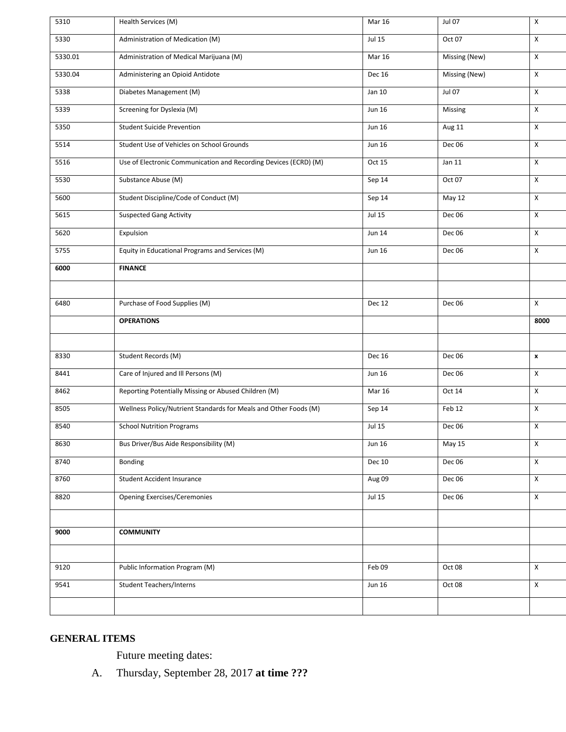| 5310    | Health Services (M)                                              | <b>Mar 16</b> | Jul 07        | X                       |
|---------|------------------------------------------------------------------|---------------|---------------|-------------------------|
| 5330    | Administration of Medication (M)                                 | <b>Jul 15</b> | Oct 07        | X                       |
| 5330.01 | Administration of Medical Marijuana (M)                          | <b>Mar 16</b> | Missing (New) | X                       |
| 5330.04 | Administering an Opioid Antidote                                 | Dec 16        | Missing (New) | $\mathsf{X}$            |
| 5338    | Diabetes Management (M)                                          | Jan 10        | <b>Jul 07</b> | X                       |
| 5339    | Screening for Dyslexia (M)                                       | <b>Jun 16</b> | Missing       | X                       |
| 5350    | <b>Student Suicide Prevention</b>                                | <b>Jun 16</b> | Aug 11        | $\pmb{\chi}$            |
| 5514    | Student Use of Vehicles on School Grounds                        | <b>Jun 16</b> | Dec 06        | X                       |
| 5516    | Use of Electronic Communication and Recording Devices (ECRD) (M) | Oct 15        | Jan 11        | $\pmb{\times}$          |
| 5530    | Substance Abuse (M)                                              | Sep 14        | Oct 07        | X                       |
| 5600    | Student Discipline/Code of Conduct (M)                           | Sep 14        | May 12        | X                       |
| 5615    | <b>Suspected Gang Activity</b>                                   | <b>Jul 15</b> | <b>Dec 06</b> | X                       |
| 5620    | Expulsion                                                        | <b>Jun 14</b> | Dec 06        | X                       |
| 5755    | Equity in Educational Programs and Services (M)                  | <b>Jun 16</b> | Dec 06        | $\mathsf{X}$            |
| 6000    | <b>FINANCE</b>                                                   |               |               |                         |
|         |                                                                  |               |               |                         |
| 6480    | Purchase of Food Supplies (M)                                    | Dec 12        | Dec 06        | X                       |
|         |                                                                  |               |               |                         |
|         | <b>OPERATIONS</b>                                                |               |               | 8000                    |
|         |                                                                  |               |               |                         |
| 8330    | Student Records (M)                                              | <b>Dec 16</b> | Dec 06        | $\pmb{\mathsf{x}}$      |
| 8441    | Care of Injured and Ill Persons (M)                              | <b>Jun 16</b> | Dec 06        | X                       |
| 8462    | Reporting Potentially Missing or Abused Children (M)             | <b>Mar 16</b> | Oct 14        | X                       |
| 8505    | Wellness Policy/Nutrient Standards for Meals and Other Foods (M) | Sep 14        | Feb 12        | X                       |
| 8540    | <b>School Nutrition Programs</b>                                 | <b>Jul 15</b> | Dec 06        | X                       |
| 8630    | Bus Driver/Bus Aide Responsibility (M)                           | <b>Jun 16</b> | May 15        | X                       |
| 8740    | Bonding                                                          | <b>Dec 10</b> | Dec 06        | $\pmb{\mathsf{X}}$      |
| 8760    | <b>Student Accident Insurance</b>                                | Aug 09        | Dec 06        | $\pmb{\mathsf{X}}$      |
| 8820    | <b>Opening Exercises/Ceremonies</b>                              | <b>Jul 15</b> | Dec 06        | $\pmb{\mathsf{X}}$      |
|         |                                                                  |               |               |                         |
| 9000    | <b>COMMUNITY</b>                                                 |               |               |                         |
|         |                                                                  |               |               |                         |
| 9120    | Public Information Program (M)                                   | Feb 09        | Oct 08        | $\overline{\mathsf{x}}$ |
| 9541    | <b>Student Teachers/Interns</b>                                  | <b>Jun 16</b> | Oct 08        | X                       |
|         |                                                                  |               |               |                         |

# **GENERAL ITEMS**

Future meeting dates:

A. Thursday, September 28, 2017 **at time ???**